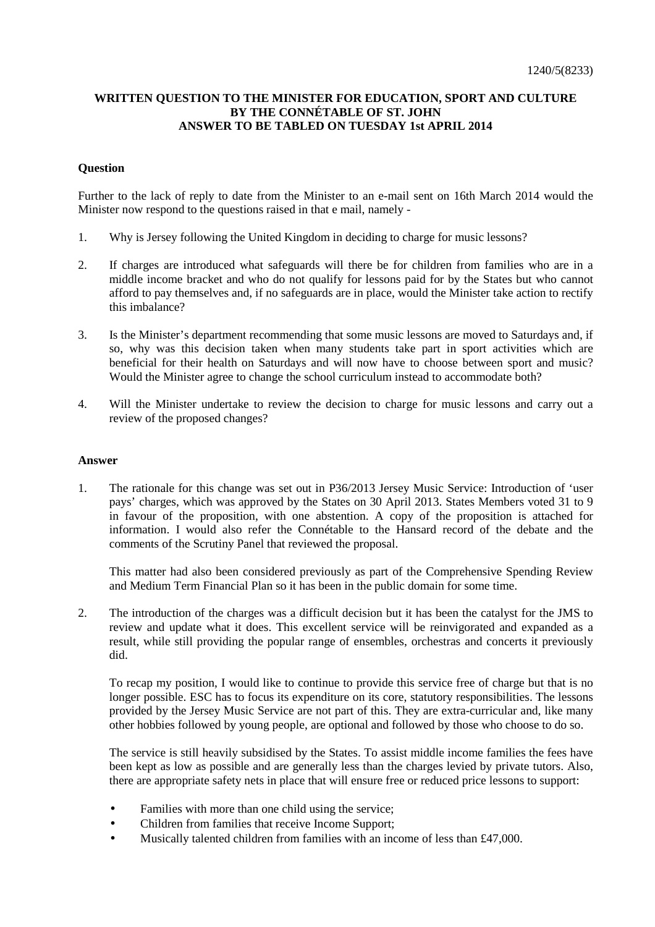## **WRITTEN QUESTION TO THE MINISTER FOR EDUCATION, SPORT AND CULTURE BY THE CONNÉTABLE OF ST. JOHN ANSWER TO BE TABLED ON TUESDAY 1st APRIL 2014**

## **Question**

Further to the lack of reply to date from the Minister to an e-mail sent on 16th March 2014 would the Minister now respond to the questions raised in that e mail, namely -

- 1. Why is Jersey following the United Kingdom in deciding to charge for music lessons?
- 2. If charges are introduced what safeguards will there be for children from families who are in a middle income bracket and who do not qualify for lessons paid for by the States but who cannot afford to pay themselves and, if no safeguards are in place, would the Minister take action to rectify this imbalance?
- 3. Is the Minister's department recommending that some music lessons are moved to Saturdays and, if so, why was this decision taken when many students take part in sport activities which are beneficial for their health on Saturdays and will now have to choose between sport and music? Would the Minister agree to change the school curriculum instead to accommodate both?
- 4. Will the Minister undertake to review the decision to charge for music lessons and carry out a review of the proposed changes?

## **Answer**

1. The rationale for this change was set out in P36/2013 Jersey Music Service: Introduction of 'user pays' charges, which was approved by the States on 30 April 2013. States Members voted 31 to 9 in favour of the proposition, with one abstention. A copy of the proposition is attached for information. I would also refer the Connétable to the Hansard record of the debate and the comments of the Scrutiny Panel that reviewed the proposal.

 This matter had also been considered previously as part of the Comprehensive Spending Review and Medium Term Financial Plan so it has been in the public domain for some time.

2. The introduction of the charges was a difficult decision but it has been the catalyst for the JMS to review and update what it does. This excellent service will be reinvigorated and expanded as a result, while still providing the popular range of ensembles, orchestras and concerts it previously did.

 To recap my position, I would like to continue to provide this service free of charge but that is no longer possible. ESC has to focus its expenditure on its core, statutory responsibilities. The lessons provided by the Jersey Music Service are not part of this. They are extra-curricular and, like many other hobbies followed by young people, are optional and followed by those who choose to do so.

 The service is still heavily subsidised by the States. To assist middle income families the fees have been kept as low as possible and are generally less than the charges levied by private tutors. Also, there are appropriate safety nets in place that will ensure free or reduced price lessons to support:

- Families with more than one child using the service;
- Children from families that receive Income Support;
- Musically talented children from families with an income of less than £47,000.